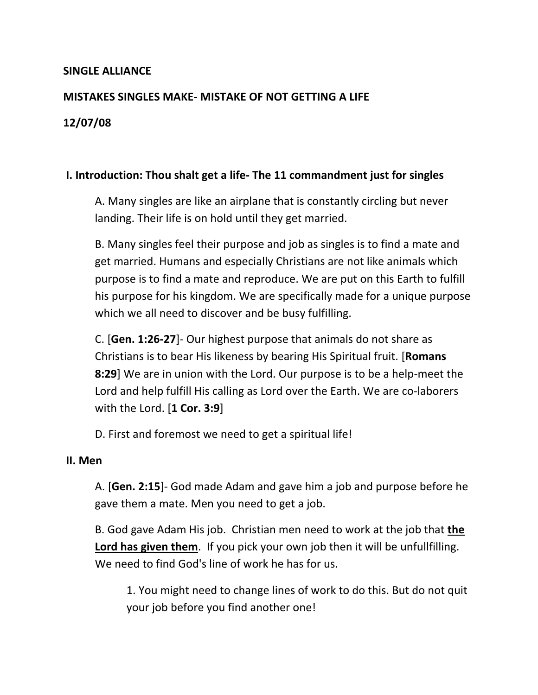# **SINGLE ALLIANCE**

## **MISTAKES SINGLES MAKE- MISTAKE OF NOT GETTING A LIFE**

# **12/07/08**

## **I. Introduction: Thou shalt get a life- The 11 commandment just for singles**

A. Many singles are like an airplane that is constantly circling but never landing. Their life is on hold until they get married.

B. Many singles feel their purpose and job as singles is to find a mate and get married. Humans and especially Christians are not like animals which purpose is to find a mate and reproduce. We are put on this Earth to fulfill his purpose for his kingdom. We are specifically made for a unique purpose which we all need to discover and be busy fulfilling.

C. [**Gen. 1:26-27**]- Our highest purpose that animals do not share as Christians is to bear His likeness by bearing His Spiritual fruit. [**Romans 8:29**] We are in union with the Lord. Our purpose is to be a help-meet the Lord and help fulfill His calling as Lord over the Earth. We are co-laborers with the Lord. [**1 Cor. 3:9**]

D. First and foremost we need to get a spiritual life!

#### **II. Men**

A. [**Gen. 2:15**]- God made Adam and gave him a job and purpose before he gave them a mate. Men you need to get a job.

B. God gave Adam His job. Christian men need to work at the job that **the Lord has given them**. If you pick your own job then it will be unfullfilling. We need to find God's line of work he has for us.

1. You might need to change lines of work to do this. But do not quit your job before you find another one!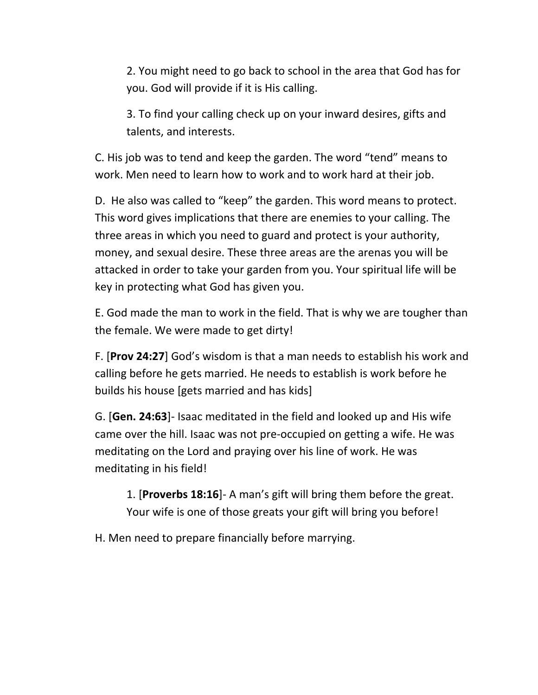2. You might need to go back to school in the area that God has for you. God will provide if it is His calling.

3. To find your calling check up on your inward desires, gifts and talents, and interests.

C. His job was to tend and keep the garden. The word "tend" means to work. Men need to learn how to work and to work hard at their job.

D. He also was called to "keep" the garden. This word means to protect. This word gives implications that there are enemies to your calling. The three areas in which you need to guard and protect is your authority, money, and sexual desire. These three areas are the arenas you will be attacked in order to take your garden from you. Your spiritual life will be key in protecting what God has given you.

E. God made the man to work in the field. That is why we are tougher than the female. We were made to get dirty!

F. [**Prov 24:27**] God's wisdom is that a man needs to establish his work and calling before he gets married. He needs to establish is work before he builds his house [gets married and has kids]

G. [**Gen. 24:63**]- Isaac meditated in the field and looked up and His wife came over the hill. Isaac was not pre-occupied on getting a wife. He was meditating on the Lord and praying over his line of work. He was meditating in his field!

1. [**Proverbs 18:16**]- A man's gift will bring them before the great. Your wife is one of those greats your gift will bring you before!

H. Men need to prepare financially before marrying.